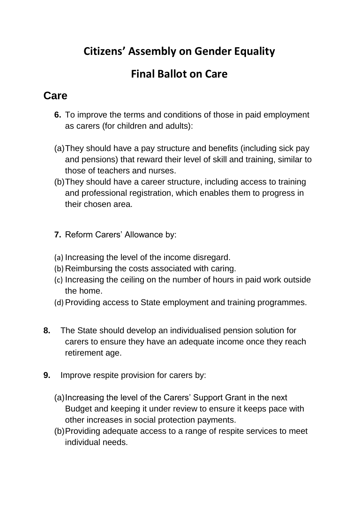## **Citizens' Assembly on Gender Equality**

## **Final Ballot on Care**

## **Care**

- **6.** To improve the terms and conditions of those in paid employment as carers (for children and adults):
- (a)They should have a pay structure and benefits (including sick pay and pensions) that reward their level of skill and training, similar to those of teachers and nurses.
- (b)They should have a career structure, including access to training and professional registration, which enables them to progress in their chosen area.
- **7.** Reform Carers' Allowance by:
- (a) Increasing the level of the income disregard.
- (b) Reimbursing the costs associated with caring.
- (c) Increasing the ceiling on the number of hours in paid work outside the home.
- (d)Providing access to State employment and training programmes.
- **8.** The State should develop an individualised pension solution for carers to ensure they have an adequate income once they reach retirement age.
- **9.** Improve respite provision for carers by:
	- (a)Increasing the level of the Carers' Support Grant in the next Budget and keeping it under review to ensure it keeps pace with other increases in social protection payments.
	- (b)Providing adequate access to a range of respite services to meet individual needs.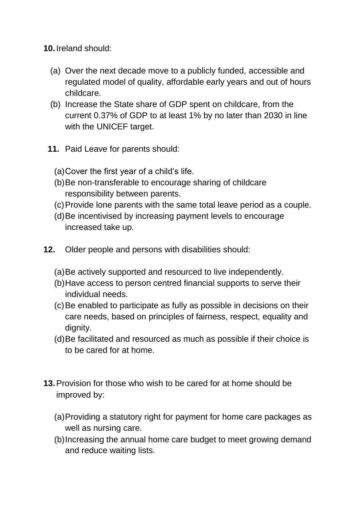**10.**Ireland should:

- (a) Over the next decade move to a publicly funded, accessible and regulated model of quality, affordable early years and out of hours childcare.
- (b) Increase the State share of GDP spent on childcare, from the current 0.37% of GDP to at least 1% by no later than 2030 in line with the UNICEF target.
- **11.** Paid Leave for parents should:
	- (a)Cover the first year of a child's life.
	- (b)Be non-transferable to encourage sharing of childcare responsibility between parents.
	- (c)Provide lone parents with the same total leave period as a couple.
	- (d)Be incentivised by increasing payment levels to encourage increased take up.
- **12.** Older people and persons with disabilities should:
	- (a)Be actively supported and resourced to live independently.
	- (b)Have access to person centred financial supports to serve their individual needs.
	- (c)Be enabled to participate as fully as possible in decisions on their care needs, based on principles of fairness, respect, equality and dignity.
	- (d)Be facilitated and resourced as much as possible if their choice is to be cared for at home.
- **13.**Provision for those who wish to be cared for at home should be improved by:
	- (a)Providing a statutory right for payment for home care packages as well as nursing care.
	- (b)Increasing the annual home care budget to meet growing demand and reduce waiting lists.